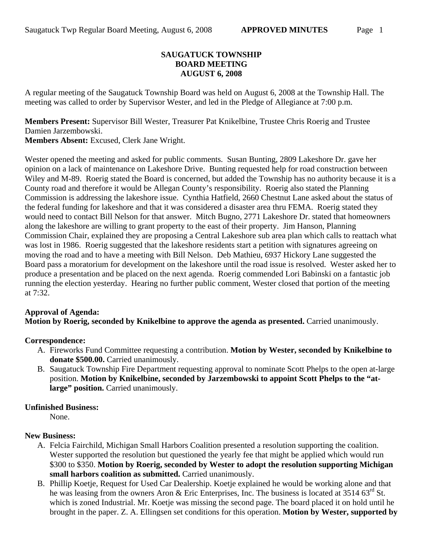### **SAUGATUCK TOWNSHIP BOARD MEETING AUGUST 6, 2008**

A regular meeting of the Saugatuck Township Board was held on August 6, 2008 at the Township Hall. The meeting was called to order by Supervisor Wester, and led in the Pledge of Allegiance at 7:00 p.m.

**Members Present:** Supervisor Bill Wester, Treasurer Pat Knikelbine, Trustee Chris Roerig and Trustee Damien Jarzembowski.

**Members Absent:** Excused, Clerk Jane Wright.

Wester opened the meeting and asked for public comments. Susan Bunting, 2809 Lakeshore Dr. gave her opinion on a lack of maintenance on Lakeshore Drive. Bunting requested help for road construction between Wiley and M-89. Roerig stated the Board is concerned, but added the Township has no authority because it is a County road and therefore it would be Allegan County's responsibility. Roerig also stated the Planning Commission is addressing the lakeshore issue. Cynthia Hatfield, 2660 Chestnut Lane asked about the status of the federal funding for lakeshore and that it was considered a disaster area thru FEMA. Roerig stated they would need to contact Bill Nelson for that answer. Mitch Bugno, 2771 Lakeshore Dr. stated that homeowners along the lakeshore are willing to grant property to the east of their property. Jim Hanson, Planning Commission Chair, explained they are proposing a Central Lakeshore sub area plan which calls to reattach what was lost in 1986. Roerig suggested that the lakeshore residents start a petition with signatures agreeing on moving the road and to have a meeting with Bill Nelson. Deb Mathieu, 6937 Hickory Lane suggested the Board pass a moratorium for development on the lakeshore until the road issue is resolved. Wester asked her to produce a presentation and be placed on the next agenda. Roerig commended Lori Babinski on a fantastic job running the election yesterday. Hearing no further public comment, Wester closed that portion of the meeting at 7:32.

#### **Approval of Agenda:**

**Motion by Roerig, seconded by Knikelbine to approve the agenda as presented.** Carried unanimously.

# **Correspondence:**

- A. Fireworks Fund Committee requesting a contribution. **Motion by Wester, seconded by Knikelbine to donate \$500.00.** Carried unanimously.
- B. Saugatuck Township Fire Department requesting approval to nominate Scott Phelps to the open at-large position. **Motion by Knikelbine, seconded by Jarzembowski to appoint Scott Phelps to the "at**large" position. Carried unanimously.

#### **Unfinished Business:**

None.

# **New Business:**

- A. Felcia Fairchild, Michigan Small Harbors Coalition presented a resolution supporting the coalition. Wester supported the resolution but questioned the yearly fee that might be applied which would run \$300 to \$350. **Motion by Roerig, seconded by Wester to adopt the resolution supporting Michigan small harbors coalition as submitted.** Carried unanimously.
- B. Phillip Koetje, Request for Used Car Dealership. Koetje explained he would be working alone and that he was leasing from the owners Aron & Eric Enterprises, Inc. The business is located at  $3514.63<sup>rd</sup>$  St. which is zoned Industrial. Mr. Koetje was missing the second page. The board placed it on hold until he brought in the paper. Z. A. Ellingsen set conditions for this operation. **Motion by Wester, supported by**